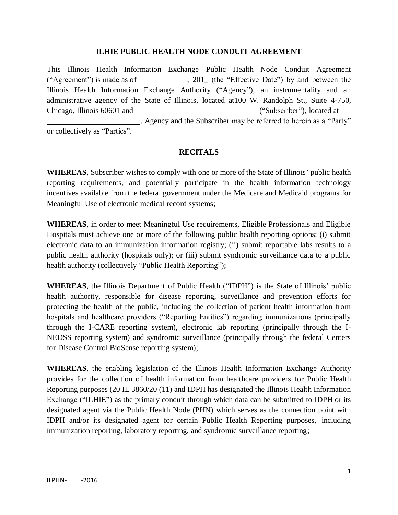## **ILHIE PUBLIC HEALTH NODE CONDUIT AGREEMENT**

This Illinois Health Information Exchange Public Health Node Conduit Agreement ("Agreement") is made as of  $\qquad \qquad$ , 201 (the "Effective Date") by and between the Illinois Health Information Exchange Authority ("Agency"), an instrumentality and an administrative agency of the State of Illinois, located at100 W. Randolph St., Suite 4-750, Chicago, Illinois 60601 and ("Subscriber"), located at . Agency and the Subscriber may be referred to herein as a "Party" or collectively as "Parties".

## **RECITALS**

**WHEREAS**, Subscriber wishes to comply with one or more of the State of Illinois" public health reporting requirements, and potentially participate in the health information technology incentives available from the federal government under the Medicare and Medicaid programs for Meaningful Use of electronic medical record systems;

**WHEREAS**, in order to meet Meaningful Use requirements, Eligible Professionals and Eligible Hospitals must achieve one or more of the following public health reporting options: (i) submit electronic data to an immunization information registry; (ii) submit reportable labs results to a public health authority (hospitals only); or (iii) submit syndromic surveillance data to a public health authority (collectively "Public Health Reporting");

**WHEREAS**, the Illinois Department of Public Health ("IDPH") is the State of Illinois" public health authority, responsible for disease reporting, surveillance and prevention efforts for protecting the health of the public, including the collection of patient health information from hospitals and healthcare providers ("Reporting Entities") regarding immunizations (principally through the I-CARE reporting system), electronic lab reporting (principally through the I-NEDSS reporting system) and syndromic surveillance (principally through the federal Centers for Disease Control BioSense reporting system);

**WHEREAS**, the enabling legislation of the Illinois Health Information Exchange Authority provides for the collection of health information from healthcare providers for Public Health Reporting purposes (20 IL 3860/20 (11) and IDPH has designated the Illinois Health Information Exchange ("ILHIE") as the primary conduit through which data can be submitted to IDPH or its designated agent via the Public Health Node (PHN) which serves as the connection point with IDPH and/or its designated agent for certain Public Health Reporting purposes, including immunization reporting, laboratory reporting, and syndromic surveillance reporting;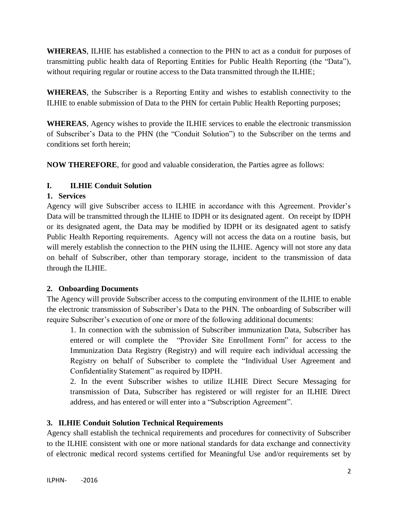**WHEREAS**, ILHIE has established a connection to the PHN to act as a conduit for purposes of transmitting public health data of Reporting Entities for Public Health Reporting (the "Data"), without requiring regular or routine access to the Data transmitted through the ILHIE;

**WHEREAS**, the Subscriber is a Reporting Entity and wishes to establish connectivity to the ILHIE to enable submission of Data to the PHN for certain Public Health Reporting purposes;

**WHEREAS**, Agency wishes to provide the ILHIE services to enable the electronic transmission of Subscriber"s Data to the PHN (the "Conduit Solution") to the Subscriber on the terms and conditions set forth herein;

**NOW THEREFORE**, for good and valuable consideration, the Parties agree as follows:

# **I. ILHIE Conduit Solution**

## **1. Services**

Agency will give Subscriber access to ILHIE in accordance with this Agreement. Provider"s Data will be transmitted through the ILHIE to IDPH or its designated agent. On receipt by IDPH or its designated agent, the Data may be modified by IDPH or its designated agent to satisfy Public Health Reporting requirements. Agency will not access the data on a routine basis, but will merely establish the connection to the PHN using the ILHIE. Agency will not store any data on behalf of Subscriber, other than temporary storage, incident to the transmission of data through the ILHIE.

## **2. Onboarding Documents**

The Agency will provide Subscriber access to the computing environment of the ILHIE to enable the electronic transmission of Subscriber"s Data to the PHN. The onboarding of Subscriber will require Subscriber"s execution of one or more of the following additional documents:

1. In connection with the submission of Subscriber immunization Data, Subscriber has entered or will complete the "Provider Site Enrollment Form" for access to the Immunization Data Registry (Registry) and will require each individual accessing the Registry on behalf of Subscriber to complete the "Individual User Agreement and Confidentiality Statement" as required by IDPH.

2. In the event Subscriber wishes to utilize ILHIE Direct Secure Messaging for transmission of Data, Subscriber has registered or will register for an ILHIE Direct address, and has entered or will enter into a "Subscription Agreement".

# **3. ILHIE Conduit Solution Technical Requirements**

Agency shall establish the technical requirements and procedures for connectivity of Subscriber to the ILHIE consistent with one or more national standards for data exchange and connectivity of electronic medical record systems certified for Meaningful Use and/or requirements set by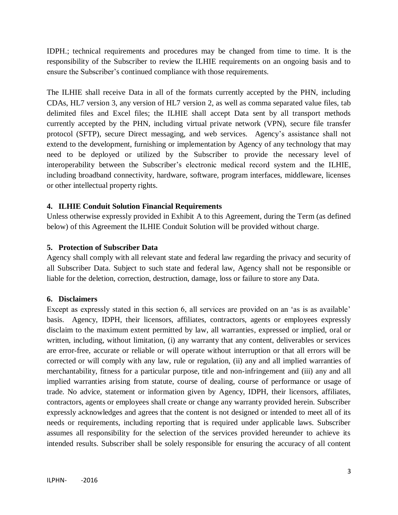IDPH.; technical requirements and procedures may be changed from time to time. It is the responsibility of the Subscriber to review the ILHIE requirements on an ongoing basis and to ensure the Subscriber"s continued compliance with those requirements.

The ILHIE shall receive Data in all of the formats currently accepted by the PHN, including CDAs, HL7 version 3, any version of HL7 version 2, as well as comma separated value files, tab delimited files and Excel files; the ILHIE shall accept Data sent by all transport methods currently accepted by the PHN, including virtual private network (VPN), secure file transfer protocol (SFTP), secure Direct messaging, and web services. Agency"s assistance shall not extend to the development, furnishing or implementation by Agency of any technology that may need to be deployed or utilized by the Subscriber to provide the necessary level of interoperability between the Subscriber"s electronic medical record system and the ILHIE, including broadband connectivity, hardware, software, program interfaces, middleware, licenses or other intellectual property rights.

## **4. ILHIE Conduit Solution Financial Requirements**

Unless otherwise expressly provided in Exhibit A to this Agreement, during the Term (as defined below) of this Agreement the ILHIE Conduit Solution will be provided without charge.

## **5. Protection of Subscriber Data**

Agency shall comply with all relevant state and federal law regarding the privacy and security of all Subscriber Data. Subject to such state and federal law, Agency shall not be responsible or liable for the deletion, correction, destruction, damage, loss or failure to store any Data.

## **6. Disclaimers**

Except as expressly stated in this section 6, all services are provided on an 'as is as available' basis. Agency, IDPH, their licensors, affiliates, contractors, agents or employees expressly disclaim to the maximum extent permitted by law, all warranties, expressed or implied, oral or written, including, without limitation, (i) any warranty that any content, deliverables or services are error-free, accurate or reliable or will operate without interruption or that all errors will be corrected or will comply with any law, rule or regulation, (ii) any and all implied warranties of merchantability, fitness for a particular purpose, title and non-infringement and (iii) any and all implied warranties arising from statute, course of dealing, course of performance or usage of trade. No advice, statement or information given by Agency, IDPH, their licensors, affiliates, contractors, agents or employees shall create or change any warranty provided herein. Subscriber expressly acknowledges and agrees that the content is not designed or intended to meet all of its needs or requirements, including reporting that is required under applicable laws. Subscriber assumes all responsibility for the selection of the services provided hereunder to achieve its intended results. Subscriber shall be solely responsible for ensuring the accuracy of all content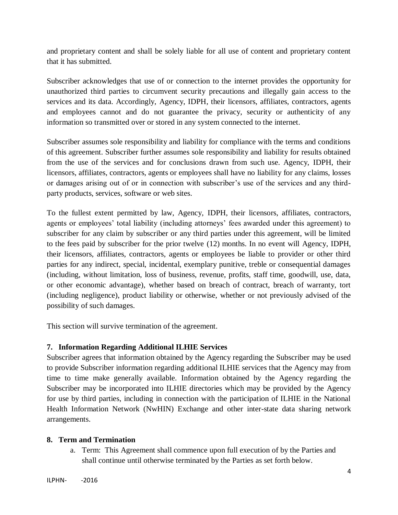and proprietary content and shall be solely liable for all use of content and proprietary content that it has submitted.

Subscriber acknowledges that use of or connection to the internet provides the opportunity for unauthorized third parties to circumvent security precautions and illegally gain access to the services and its data. Accordingly, Agency, IDPH, their licensors, affiliates, contractors, agents and employees cannot and do not guarantee the privacy, security or authenticity of any information so transmitted over or stored in any system connected to the internet.

Subscriber assumes sole responsibility and liability for compliance with the terms and conditions of this agreement. Subscriber further assumes sole responsibility and liability for results obtained from the use of the services and for conclusions drawn from such use. Agency, IDPH, their licensors, affiliates, contractors, agents or employees shall have no liability for any claims, losses or damages arising out of or in connection with subscriber"s use of the services and any thirdparty products, services, software or web sites.

To the fullest extent permitted by law, Agency, IDPH, their licensors, affiliates, contractors, agents or employees' total liability (including attorneys' fees awarded under this agreement) to subscriber for any claim by subscriber or any third parties under this agreement, will be limited to the fees paid by subscriber for the prior twelve (12) months. In no event will Agency, IDPH, their licensors, affiliates, contractors, agents or employees be liable to provider or other third parties for any indirect, special, incidental, exemplary punitive, treble or consequential damages (including, without limitation, loss of business, revenue, profits, staff time, goodwill, use, data, or other economic advantage), whether based on breach of contract, breach of warranty, tort (including negligence), product liability or otherwise, whether or not previously advised of the possibility of such damages.

This section will survive termination of the agreement.

## **7. Information Regarding Additional ILHIE Services**

Subscriber agrees that information obtained by the Agency regarding the Subscriber may be used to provide Subscriber information regarding additional ILHIE services that the Agency may from time to time make generally available. Information obtained by the Agency regarding the Subscriber may be incorporated into ILHIE directories which may be provided by the Agency for use by third parties, including in connection with the participation of ILHIE in the National Health Information Network (NwHIN) Exchange and other inter-state data sharing network arrangements.

## **8. Term and Termination**

a. Term: This Agreement shall commence upon full execution of by the Parties and shall continue until otherwise terminated by the Parties as set forth below.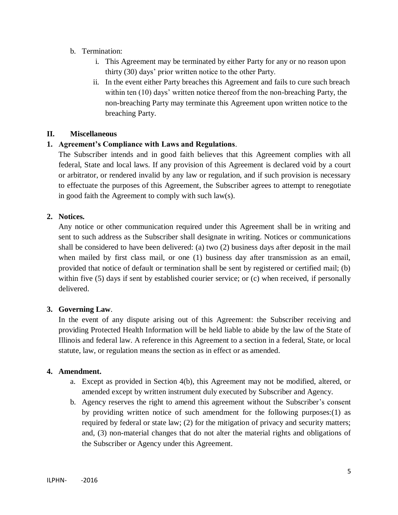- b. Termination:
	- i. This Agreement may be terminated by either Party for any or no reason upon thirty (30) days" prior written notice to the other Party.
	- ii. In the event either Party breaches this Agreement and fails to cure such breach within ten (10) days' written notice thereof from the non-breaching Party, the non-breaching Party may terminate this Agreement upon written notice to the breaching Party.

## **II. Miscellaneous**

## **1. Agreement's Compliance with Laws and Regulations**.

The Subscriber intends and in good faith believes that this Agreement complies with all federal, State and local laws. If any provision of this Agreement is declared void by a court or arbitrator, or rendered invalid by any law or regulation, and if such provision is necessary to effectuate the purposes of this Agreement, the Subscriber agrees to attempt to renegotiate in good faith the Agreement to comply with such law(s).

## **2. Notices.**

Any notice or other communication required under this Agreement shall be in writing and sent to such address as the Subscriber shall designate in writing. Notices or communications shall be considered to have been delivered: (a) two (2) business days after deposit in the mail when mailed by first class mail, or one (1) business day after transmission as an email, provided that notice of default or termination shall be sent by registered or certified mail; (b) within five (5) days if sent by established courier service; or (c) when received, if personally delivered.

## **3. Governing Law**.

In the event of any dispute arising out of this Agreement: the Subscriber receiving and providing Protected Health Information will be held liable to abide by the law of the State of Illinois and federal law. A reference in this Agreement to a section in a federal, State, or local statute, law, or regulation means the section as in effect or as amended.

## **4. Amendment.**

- a. Except as provided in Section 4(b), this Agreement may not be modified, altered, or amended except by written instrument duly executed by Subscriber and Agency.
- b. Agency reserves the right to amend this agreement without the Subscriber"s consent by providing written notice of such amendment for the following purposes:(1) as required by federal or state law; (2) for the mitigation of privacy and security matters; and, (3) non-material changes that do not alter the material rights and obligations of the Subscriber or Agency under this Agreement.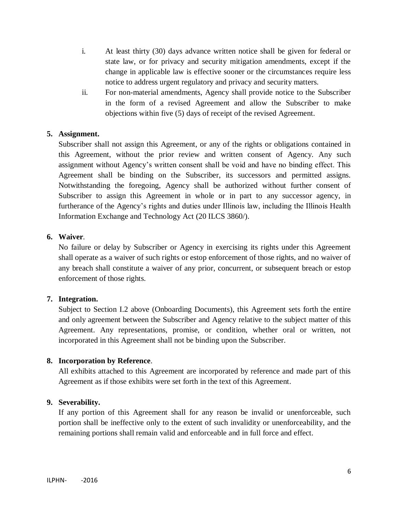- i. At least thirty (30) days advance written notice shall be given for federal or state law, or for privacy and security mitigation amendments, except if the change in applicable law is effective sooner or the circumstances require less notice to address urgent regulatory and privacy and security matters.
- ii. For non-material amendments, Agency shall provide notice to the Subscriber in the form of a revised Agreement and allow the Subscriber to make objections within five (5) days of receipt of the revised Agreement.

## **5. Assignment.**

Subscriber shall not assign this Agreement, or any of the rights or obligations contained in this Agreement, without the prior review and written consent of Agency. Any such assignment without Agency"s written consent shall be void and have no binding effect. This Agreement shall be binding on the Subscriber, its successors and permitted assigns. Notwithstanding the foregoing, Agency shall be authorized without further consent of Subscriber to assign this Agreement in whole or in part to any successor agency, in furtherance of the Agency's rights and duties under Illinois law, including the Illinois Health Information Exchange and Technology Act (20 ILCS 3860/).

## **6. Waiver**.

No failure or delay by Subscriber or Agency in exercising its rights under this Agreement shall operate as a waiver of such rights or estop enforcement of those rights, and no waiver of any breach shall constitute a waiver of any prior, concurrent, or subsequent breach or estop enforcement of those rights.

## **7. Integration.**

Subject to Section I.2 above (Onboarding Documents), this Agreement sets forth the entire and only agreement between the Subscriber and Agency relative to the subject matter of this Agreement. Any representations, promise, or condition, whether oral or written, not incorporated in this Agreement shall not be binding upon the Subscriber.

## **8. Incorporation by Reference**.

All exhibits attached to this Agreement are incorporated by reference and made part of this Agreement as if those exhibits were set forth in the text of this Agreement.

## **9. Severability.**

If any portion of this Agreement shall for any reason be invalid or unenforceable, such portion shall be ineffective only to the extent of such invalidity or unenforceability, and the remaining portions shall remain valid and enforceable and in full force and effect.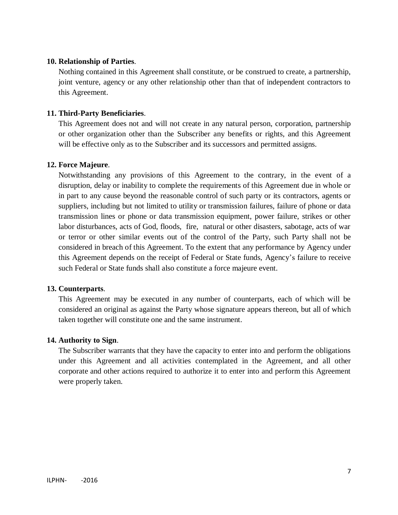## **10. Relationship of Parties**.

Nothing contained in this Agreement shall constitute, or be construed to create, a partnership, joint venture, agency or any other relationship other than that of independent contractors to this Agreement.

#### **11. Third-Party Beneficiaries**.

This Agreement does not and will not create in any natural person, corporation, partnership or other organization other than the Subscriber any benefits or rights, and this Agreement will be effective only as to the Subscriber and its successors and permitted assigns.

#### **12. Force Majeure**.

Notwithstanding any provisions of this Agreement to the contrary, in the event of a disruption, delay or inability to complete the requirements of this Agreement due in whole or in part to any cause beyond the reasonable control of such party or its contractors, agents or suppliers, including but not limited to utility or transmission failures, failure of phone or data transmission lines or phone or data transmission equipment, power failure, strikes or other labor disturbances, acts of God, floods, fire, natural or other disasters, sabotage, acts of war or terror or other similar events out of the control of the Party, such Party shall not be considered in breach of this Agreement. To the extent that any performance by Agency under this Agreement depends on the receipt of Federal or State funds, Agency"s failure to receive such Federal or State funds shall also constitute a force majeure event.

#### **13. Counterparts**.

This Agreement may be executed in any number of counterparts, each of which will be considered an original as against the Party whose signature appears thereon, but all of which taken together will constitute one and the same instrument.

#### **14. Authority to Sign**.

The Subscriber warrants that they have the capacity to enter into and perform the obligations under this Agreement and all activities contemplated in the Agreement, and all other corporate and other actions required to authorize it to enter into and perform this Agreement were properly taken.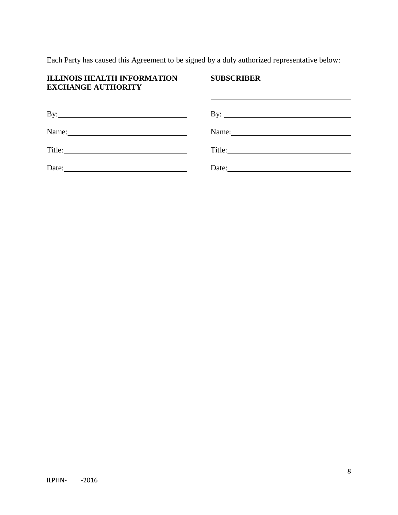Each Party has caused this Agreement to be signed by a duly authorized representative below:

## **ILLINOIS HEALTH INFORMATION SUBSCRIBER EXCHANGE AUTHORITY**

| $\mathbf{By:}\_\_\_\_\_\_\_\$ | By: $\qquad \qquad$ |
|-------------------------------|---------------------|
| Name:                         | Name:               |
|                               |                     |
| Date:                         | Date:               |